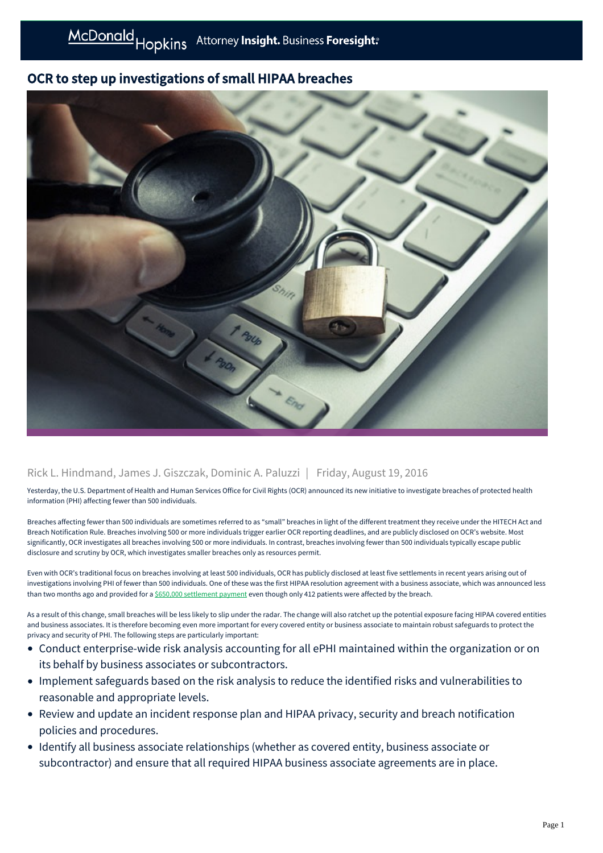## McDonald Hopkins Attorney Insight. Business Foresight:

## OCR to step up investigations of small HIPAA breaches



## Rick L. Hindmand, James J. Giszczak, Dominic A. Paluzzi | Friday, August 19, 2016

Yesterday, the U.S. Department of Health and Human Services Office for Civil Rights (OCR) announced its new initiative to investigate breaches of protected health information (PHI) affecting fewer than 500 individuals.

Breaches affecting fewer than 500 individuals are sometimes referred to as "small" breaches in light of the different treatment they receive under the HITECH Act and Breach Notification Rule. Breaches involving 500 or more individuals trigger earlier OCR reporting deadlines, and are publicly disclosed on OCR's website. Most significantly, OCR investigates all breaches involving 500 or more individuals. In contrast, breaches involving fewer than 500 individuals typically escape public disclosure and scrutiny by OCR, which investigates smaller breaches only as resources permit.

Even with OCR's traditional focus on breaches involving at least 500 individuals, OCR has publicly disclosed at least five settlements in recent years arising out of investigations involving PHI of fewer than 500 individuals. One of these was the first HIPAA resolution agreement with a business associate, which was announced less than two months ago and provided for a [\\$650,000 settlement payment](https://mcdonaldhopkins.com/link.aspx?_id=827371EF79CE47229E63DD92DDEC31FB&_z=z) even though only 412 patients were affected by the breach.

As a result of this change, small breaches will be less likely to slip under the radar. The change will also ratchet up the potential exposure facing HIPAA covered entities and business associates. It is therefore becoming even more important for every covered entity or business associate to maintain robust safeguards to protect the privacy and security of PHI. The following steps are particularly important:

- Conduct enterprise-wide risk analysis accounting for all ePHI maintained within the organization or on its behalf by business associates or subcontractors.
- Implement safeguards based on the risk analysis to reduce the identified risks and vulnerabilities to reasonable and appropriate levels.
- Review and update an incident response plan and HIPAA privacy, security and breach notification policies and procedures.
- Identify all business associate relationships (whether as covered entity, business associate or subcontractor) and ensure that all required HIPAA business associate agreements are in place.